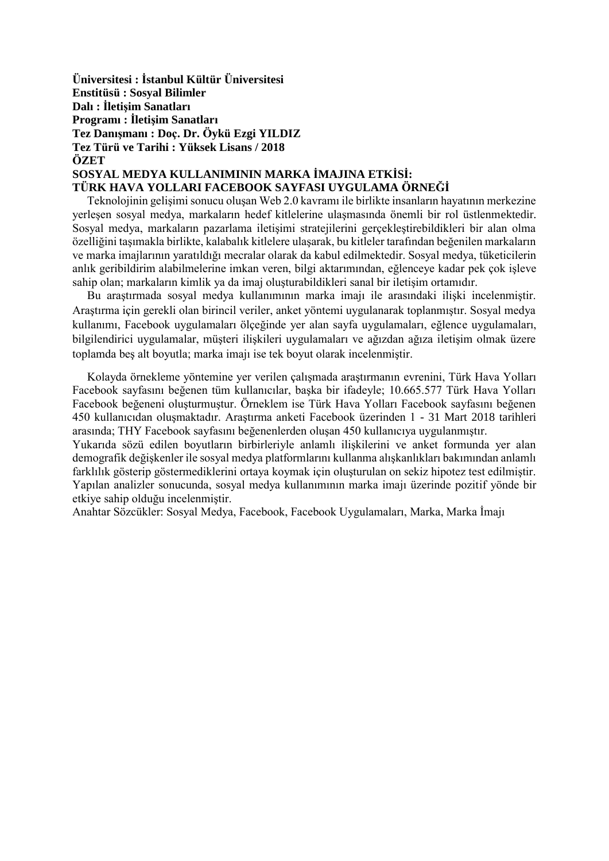**Üniversitesi : İstanbul Kültür Üniversitesi Enstitüsü : Sosyal Bilimler Dalı : İletişim Sanatları Programı : İletişim Sanatları Tez Danışmanı : Doç. Dr. Öykü Ezgi YILDIZ Tez Türü ve Tarihi : Yüksek Lisans / 2018 ÖZET SOSYAL MEDYA KULLANIMININ MARKA İMAJINA ETKİSİ:** 

## **TÜRK HAVA YOLLARI FACEBOOK SAYFASI UYGULAMA ÖRNEĞİ**

 Teknolojinin gelişimi sonucu oluşan Web 2.0 kavramı ile birlikte insanların hayatının merkezine yerleşen sosyal medya, markaların hedef kitlelerine ulaşmasında önemli bir rol üstlenmektedir. Sosyal medya, markaların pazarlama iletişimi stratejilerini gerçekleştirebildikleri bir alan olma özelliğini taşımakla birlikte, kalabalık kitlelere ulaşarak, bu kitleler tarafından beğenilen markaların ve marka imajlarının yaratıldığı mecralar olarak da kabul edilmektedir. Sosyal medya, tüketicilerin anlık geribildirim alabilmelerine imkan veren, bilgi aktarımından, eğlenceye kadar pek çok işleve sahip olan; markaların kimlik ya da imaj oluşturabildikleri sanal bir iletişim ortamıdır.

 Bu araştırmada sosyal medya kullanımının marka imajı ile arasındaki ilişki incelenmiştir. Araştırma için gerekli olan birincil veriler, anket yöntemi uygulanarak toplanmıştır. Sosyal medya kullanımı, Facebook uygulamaları ölçeğinde yer alan sayfa uygulamaları, eğlence uygulamaları, bilgilendirici uygulamalar, müşteri ilişkileri uygulamaları ve ağızdan ağıza iletişim olmak üzere toplamda beş alt boyutla; marka imajı ise tek boyut olarak incelenmiştir.

 Kolayda örnekleme yöntemine yer verilen çalışmada araştırmanın evrenini, Türk Hava Yolları Facebook sayfasını beğenen tüm kullanıcılar, başka bir ifadeyle; 10.665.577 Türk Hava Yolları Facebook beğeneni oluşturmuştur. Örneklem ise Türk Hava Yolları Facebook sayfasını beğenen 450 kullanıcıdan oluşmaktadır. Araştırma anketi Facebook üzerinden 1 - 31 Mart 2018 tarihleri arasında; THY Facebook sayfasını beğenenlerden oluşan 450 kullanıcıya uygulanmıştır.

Yukarıda sözü edilen boyutların birbirleriyle anlamlı ilişkilerini ve anket formunda yer alan demografik değişkenler ile sosyal medya platformlarını kullanma alışkanlıkları bakımından anlamlı farklılık gösterip göstermediklerini ortaya koymak için oluşturulan on sekiz hipotez test edilmiştir. Yapılan analizler sonucunda, sosyal medya kullanımının marka imajı üzerinde pozitif yönde bir etkiye sahip olduğu incelenmiştir.

Anahtar Sözcükler: Sosyal Medya, Facebook, Facebook Uygulamaları, Marka, Marka İmajı